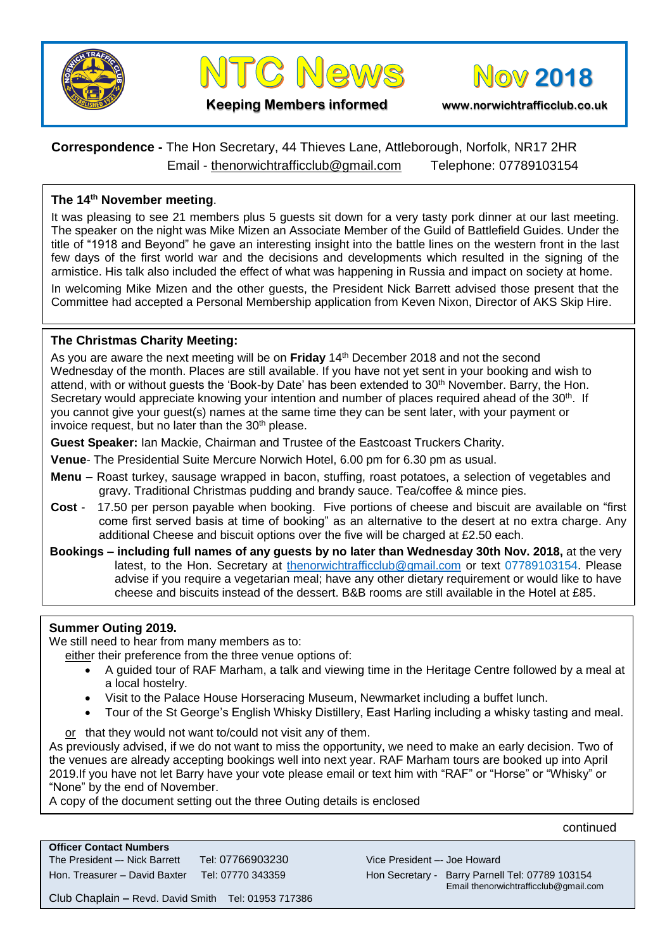





**Keeping Members informed www.norwichtrafficclub.co.uk**

# **Correspondence -** The Hon Secretary, 44 Thieves Lane, Attleborough, Norfolk, NR17 2HR Email - [thenorwichtrafficclub@gmail.com](mailto:thenorwichtrafficclub@gmail.com) Telephone: 07789103154

## **The 14 th November meeting**.

It was pleasing to see 21 members plus 5 guests sit down for a very tasty pork dinner at our last meeting. The speaker on the night was Mike Mizen an Associate Member of the Guild of Battlefield Guides. Under the title of "1918 and Beyond" he gave an interesting insight into the battle lines on the western front in the last few days of the first world war and the decisions and developments which resulted in the signing of the armistice. His talk also included the effect of what was happening in Russia and impact on society at home.

In welcoming Mike Mizen and the other guests, the President Nick Barrett advised those present that the Committee had accepted a Personal Membership application from Keven Nixon, Director of AKS Skip Hire.

### **The Christmas Charity Meeting:**

As you are aware the next meeting will be on Friday 14<sup>th</sup> December 2018 and not the second Wednesday of the month. Places are still available. If you have not yet sent in your booking and wish to attend, with or without guests the 'Book-by Date' has been extended to 30<sup>th</sup> November. Barry, the Hon. Secretary would appreciate knowing your intention and number of places required ahead of the  $30<sup>th</sup>$ . If you cannot give your guest(s) names at the same time they can be sent later, with your payment or invoice request, but no later than the 30<sup>th</sup> please.

**Guest Speaker:** Ian Mackie, Chairman and Trustee of the Eastcoast Truckers Charity.

**Venue**- The Presidential Suite Mercure Norwich Hotel, 6.00 pm for 6.30 pm as usual.

- **Menu –** Roast turkey, sausage wrapped in bacon, stuffing, roast potatoes, a selection of vegetables and gravy. Traditional Christmas pudding and brandy sauce. Tea/coffee & mince pies.
- **Cost**  17.50 per person payable when booking. Five portions of cheese and biscuit are available on "first come first served basis at time of booking" as an alternative to the desert at no extra charge. Any additional Cheese and biscuit options over the five will be charged at £2.50 each.
- **Bookings – including full names of any guests by no later than Wednesday 30th Nov. 2018,** at the very latest, to the Hon. Secretary at [thenorwichtrafficclub@gmail.com](mailto:thenorwichtrafficclub@gmail.com) or text 07789103154. Please advise if you require a vegetarian meal; have any other dietary requirement or would like to have cheese and biscuits instead of the dessert. B&B rooms are still available in the Hotel at £85.

## **Summer Outing 2019.**

We still need to hear from many members as to:

either their preference from the three venue options of:

- A guided tour of RAF Marham, a talk and viewing time in the Heritage Centre followed by a meal at a local hostelry.
- Visit to the Palace House Horseracing Museum, Newmarket including a buffet lunch.
- Tour of the St George's English Whisky Distillery, East Harling including a whisky tasting and meal.

or that they would not want to/could not visit any of them.

As previously advised, if we do not want to miss the opportunity, we need to make an early decision. Two of the venues are already accepting bookings well into next year. RAF Marham tours are booked up into April 2019.If you have not let Barry have your vote please email or text him with "RAF" or "Horse" or "Whisky" or "None" by the end of November.

A copy of the document setting out the three Outing details is enclosed

continued

| <b>Officer Contact Numbers</b> |                   |
|--------------------------------|-------------------|
| The President -- Nick Barrett  | Tel: 07766903230  |
| Hon. Treasurer - David Baxter  | Tel: 07770 343359 |

Vice President -- Joe Howard Hon Secretary - Barry Parnell Tel: 07789 103154 Email thenorwichtrafficclub@gmail.com

Club Chaplain **–** Revd. David Smith Tel: 01953 717386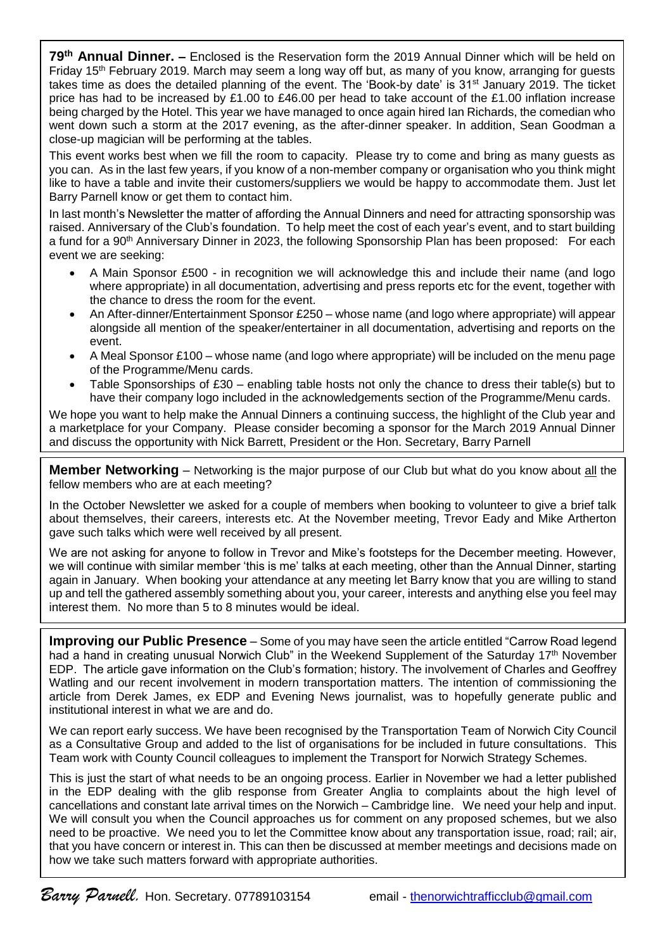**79th Annual Dinner. –** Enclosed is the Reservation form the 2019 Annual Dinner which will be held on Friday 15<sup>th</sup> February 2019. March may seem a long way off but, as many of you know, arranging for guests takes time as does the detailed planning of the event. The 'Book-by date' is 31<sup>st</sup> January 2019. The ticket price has had to be increased by £1.00 to £46.00 per head to take account of the £1.00 inflation increase being charged by the Hotel. This year we have managed to once again hired Ian Richards, the comedian who went down such a storm at the 2017 evening, as the after-dinner speaker. In addition, Sean Goodman a close-up magician will be performing at the tables.

This event works best when we fill the room to capacity. Please try to come and bring as many guests as you can. As in the last few years, if you know of a non-member company or organisation who you think might like to have a table and invite their customers/suppliers we would be happy to accommodate them. Just let Barry Parnell know or get them to contact him.

In last month's Newsletter the matter of affording the Annual Dinners and need for attracting sponsorship was raised. Anniversary of the Club's foundation. To help meet the cost of each year's event, and to start building a fund for a 90<sup>th</sup> Anniversary Dinner in 2023, the following Sponsorship Plan has been proposed: For each event we are seeking:

- A Main Sponsor £500 in recognition we will acknowledge this and include their name (and logo where appropriate) in all documentation, advertising and press reports etc for the event, together with the chance to dress the room for the event.
- An After-dinner/Entertainment Sponsor £250 whose name (and logo where appropriate) will appear alongside all mention of the speaker/entertainer in all documentation, advertising and reports on the event.
- A Meal Sponsor £100 whose name (and logo where appropriate) will be included on the menu page of the Programme/Menu cards.
- Table Sponsorships of £30 enabling table hosts not only the chance to dress their table(s) but to have their company logo included in the acknowledgements section of the Programme/Menu cards.

We hope you want to help make the Annual Dinners a continuing success, the highlight of the Club year and a marketplace for your Company. Please consider becoming a sponsor for the March 2019 Annual Dinner and discuss the opportunity with Nick Barrett, President or the Hon. Secretary, Barry Parnell

**Member Networking** – Networking is the major purpose of our Club but what do you know about all the fellow members who are at each meeting?

In the October Newsletter we asked for a couple of members when booking to volunteer to give a brief talk about themselves, their careers, interests etc. At the November meeting, Trevor Eady and Mike Artherton gave such talks which were well received by all present.

We are not asking for anyone to follow in Trevor and Mike's footsteps for the December meeting. However, we will continue with similar member 'this is me' talks at each meeting, other than the Annual Dinner, starting again in January. When booking your attendance at any meeting let Barry know that you are willing to stand up and tell the gathered assembly something about you, your career, interests and anything else you feel may interest them. No more than 5 to 8 minutes would be ideal.

**Improving our Public Presence** – Some of you may have seen the article entitled "Carrow Road legend had a hand in creating unusual Norwich Club" in the Weekend Supplement of the Saturday 17<sup>th</sup> November EDP. The article gave information on the Club's formation; history. The involvement of Charles and Geoffrey Watling and our recent involvement in modern transportation matters. The intention of commissioning the article from Derek James, ex EDP and Evening News journalist, was to hopefully generate public and institutional interest in what we are and do.

We can report early success. We have been recognised by the Transportation Team of Norwich City Council as a Consultative Group and added to the list of organisations for be included in future consultations. This Team work with County Council colleagues to implement the Transport for Norwich Strategy Schemes.

This is just the start of what needs to be an ongoing process. Earlier in November we had a letter published in the EDP dealing with the glib response from Greater Anglia to complaints about the high level of cancellations and constant late arrival times on the Norwich – Cambridge line. We need your help and input. We will consult you when the Council approaches us for comment on any proposed schemes, but we also need to be proactive. We need you to let the Committee know about any transportation issue, road; rail; air, that you have concern or interest in. This can then be discussed at member meetings and decisions made on how we take such matters forward with appropriate authorities.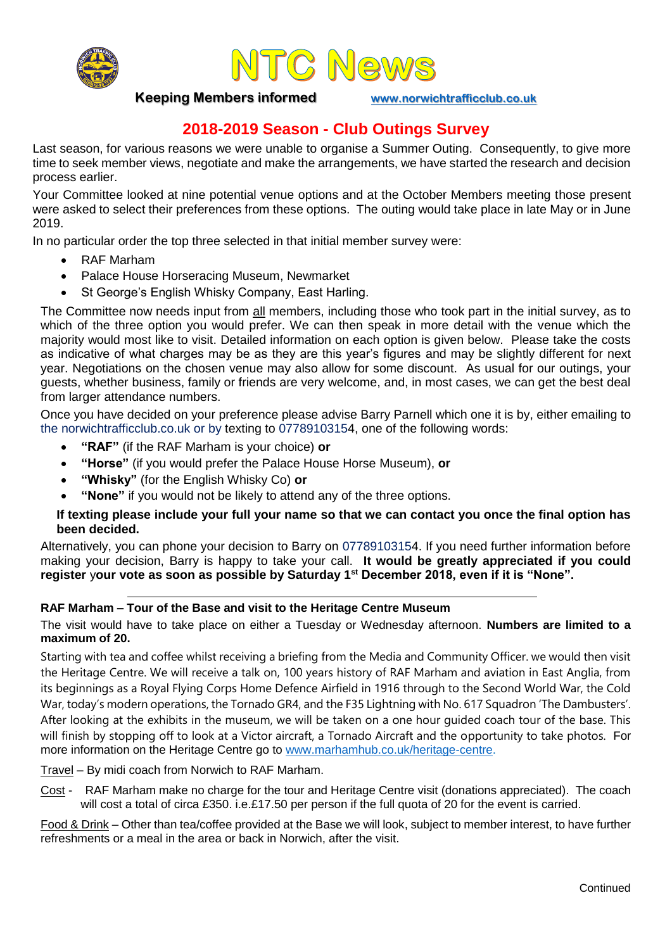



**Keeping Members informed [www.norwichtrafficclub.co.uk](http://www.norwichtrafficclub.co.uk/)**

# **2018-2019 Season - Club Outings Survey**

Last season, for various reasons we were unable to organise a Summer Outing. Consequently, to give more time to seek member views, negotiate and make the arrangements, we have started the research and decision process earlier.

Your Committee looked at nine potential venue options and at the October Members meeting those present were asked to select their preferences from these options. The outing would take place in late May or in June 2019.

In no particular order the top three selected in that initial member survey were:

- RAF Marham
- Palace House Horseracing Museum, Newmarket
- St George's English Whisky Company, East Harling.

The Committee now needs input from all members, including those who took part in the initial survey, as to which of the three option you would prefer. We can then speak in more detail with the venue which the majority would most like to visit. Detailed information on each option is given below. Please take the costs as indicative of what charges may be as they are this year's figures and may be slightly different for next year. Negotiations on the chosen venue may also allow for some discount. As usual for our outings, your guests, whether business, family or friends are very welcome, and, in most cases, we can get the best deal from larger attendance numbers.

Once you have decided on your preference please advise Barry Parnell which one it is by, either emailing to the norwichtrafficclub.co.uk or by texting to 07789103154, one of the following words:

- **"RAF"** (if the RAF Marham is your choice) **or**
- **"Horse"** (if you would prefer the Palace House Horse Museum), **or**
- **"Whisky"** (for the English Whisky Co) **or**
- **"None"** if you would not be likely to attend any of the three options.

### **If texting please include your full your name so that we can contact you once the final option has been decided.**

Alternatively, you can phone your decision to Barry on 07789103154. If you need further information before making your decision, Barry is happy to take your call. **It would be greatly appreciated if you could register** y**our vote as soon as possible by Saturday 1st December 2018, even if it is "None".**

### **RAF Marham – Tour of the Base and visit to the Heritage Centre Museum**

The visit would have to take place on either a Tuesday or Wednesday afternoon. **Numbers are limited to a maximum of 20.**

Starting with tea and coffee whilst receiving a briefing from the Media and Community Officer. we would then visit the Heritage Centre. We will receive a talk on, 100 years history of RAF Marham and aviation in East Anglia, from its beginnings as a Royal Flying Corps Home Defence Airfield in 1916 through to the Second World War, the Cold War, today's modern operations, the Tornado GR4, and the F35 Lightning with No. 617 Squadron 'The Dambusters'. After looking at the exhibits in the museum, we will be taken on a one hour guided coach tour of the base. This will finish by stopping off to look at a Victor aircraft, a Tornado Aircraft and the opportunity to take photos. For more information on the Heritage Centre go to [www.marhamhub.co.uk/heritage-centre.](http://www.marhamhub.co.uk/heritage-centre)

Travel – By midi coach from Norwich to RAF Marham.

Cost - RAF Marham make no charge for the tour and Heritage Centre visit (donations appreciated). The coach will cost a total of circa £350. i.e.£17.50 per person if the full quota of 20 for the event is carried.

Food & Drink – Other than tea/coffee provided at the Base we will look, subject to member interest, to have further refreshments or a meal in the area or back in Norwich, after the visit.